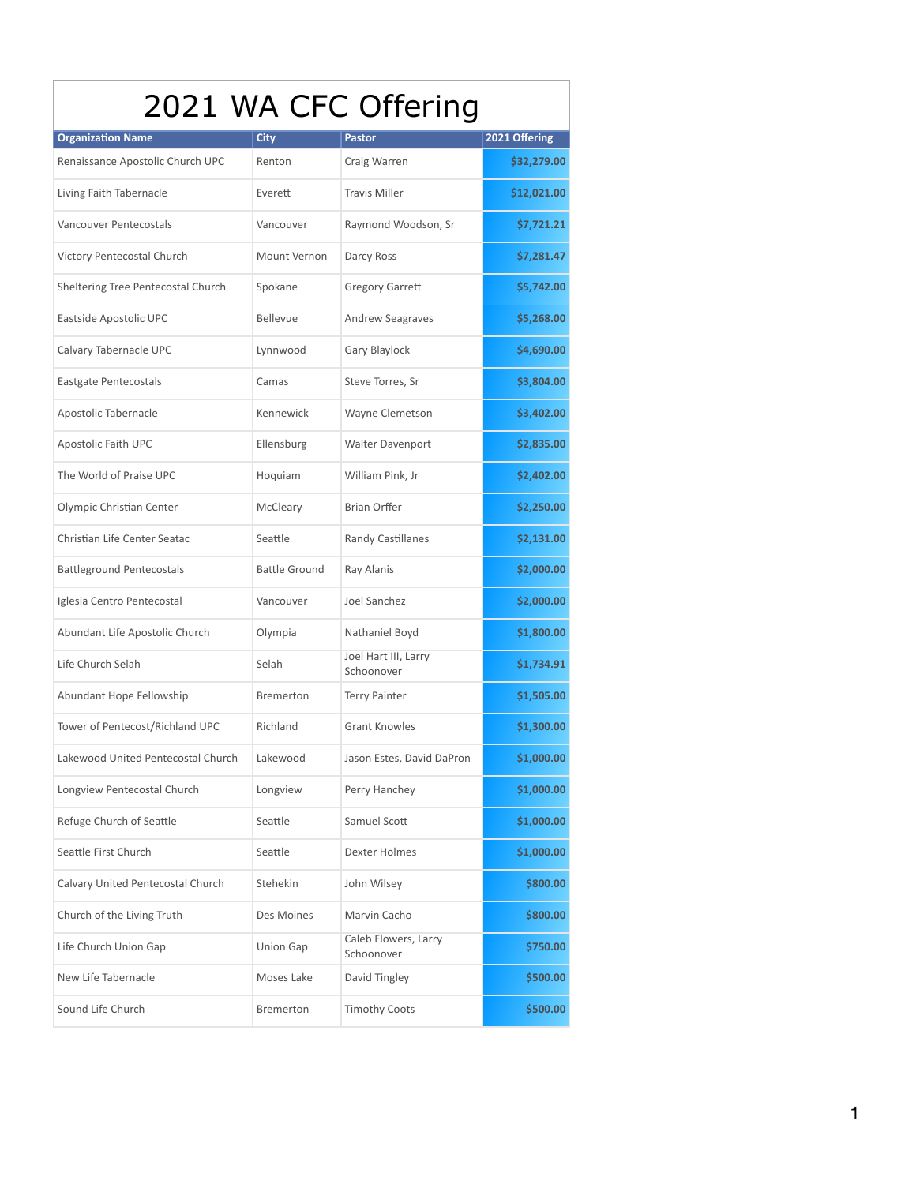| 2021 WA CFC Offering               |                      |                                    |               |  |
|------------------------------------|----------------------|------------------------------------|---------------|--|
| <b>Organization Name</b>           | City                 | Pastor                             | 2021 Offering |  |
| Renaissance Apostolic Church UPC   | Renton               | Craig Warren                       | \$32,279.00   |  |
| Living Faith Tabernacle            | Everett              | <b>Travis Miller</b>               | \$12,021.00   |  |
| Vancouver Pentecostals             | Vancouver            | Raymond Woodson, Sr                | \$7,721.21    |  |
| Victory Pentecostal Church         | Mount Vernon         | Darcy Ross                         | \$7,281.47    |  |
| Sheltering Tree Pentecostal Church | Spokane              | <b>Gregory Garrett</b>             | \$5,742.00    |  |
| Eastside Apostolic UPC             | Bellevue             | <b>Andrew Seagraves</b>            | \$5,268.00    |  |
| Calvary Tabernacle UPC             | Lynnwood             | Gary Blaylock                      | \$4,690.00    |  |
| Eastgate Pentecostals              | Camas                | Steve Torres, Sr                   | \$3,804.00    |  |
| Apostolic Tabernacle               | Kennewick            | Wayne Clemetson                    | \$3,402.00    |  |
| Apostolic Faith UPC                | Ellensburg           | <b>Walter Davenport</b>            | \$2,835.00    |  |
| The World of Praise UPC            | Hoquiam              | William Pink, Jr                   | \$2,402.00    |  |
| Olympic Christian Center           | McCleary             | <b>Brian Orffer</b>                | \$2,250.00    |  |
| Christian Life Center Seatac       | Seattle              | <b>Randy Castillanes</b>           | \$2,131.00    |  |
| <b>Battleground Pentecostals</b>   | <b>Battle Ground</b> | Ray Alanis                         | \$2,000.00    |  |
| Iglesia Centro Pentecostal         | Vancouver            | Joel Sanchez                       | \$2,000.00    |  |
| Abundant Life Apostolic Church     | Olympia              | Nathaniel Boyd                     | \$1,800.00    |  |
| Life Church Selah                  | Selah                | Joel Hart III, Larry<br>Schoonover | \$1,734.91    |  |
| Abundant Hope Fellowship           | Bremerton            | <b>Terry Painter</b>               | \$1,505.00    |  |
| Tower of Pentecost/Richland UPC    | Richland             | <b>Grant Knowles</b>               | \$1,300.00    |  |
| Lakewood United Pentecostal Church | Lakewood             | Jason Estes, David DaPron          | \$1,000.00    |  |
| Longview Pentecostal Church        | Longview             | Perry Hanchey                      | \$1,000.00    |  |
| Refuge Church of Seattle           | Seattle              | Samuel Scott                       | \$1,000.00    |  |
| Seattle First Church               | Seattle              | <b>Dexter Holmes</b>               | \$1,000.00    |  |
| Calvary United Pentecostal Church  | Stehekin             | John Wilsey                        | \$800.00      |  |
| Church of the Living Truth         | Des Moines           | Marvin Cacho                       | \$800.00      |  |
| Life Church Union Gap              | <b>Union Gap</b>     | Caleb Flowers, Larry<br>Schoonover | \$750.00      |  |
| New Life Tabernacle                | Moses Lake           | David Tingley                      | \$500.00      |  |
| Sound Life Church                  | Bremerton            | <b>Timothy Coots</b>               | \$500.00      |  |